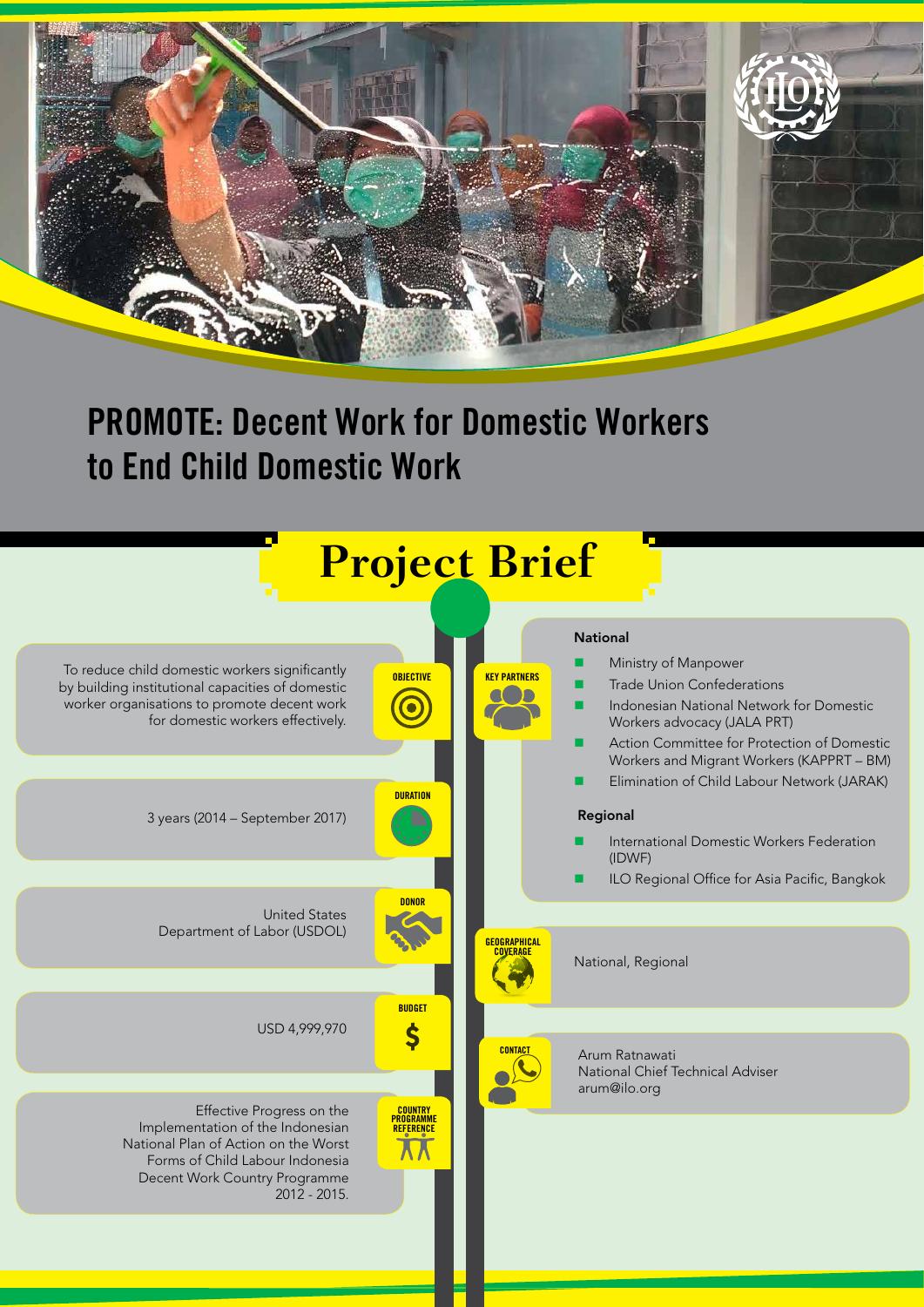

# **PROMOTE: Decent Work for Domestic Workers to End Child Domestic Work**

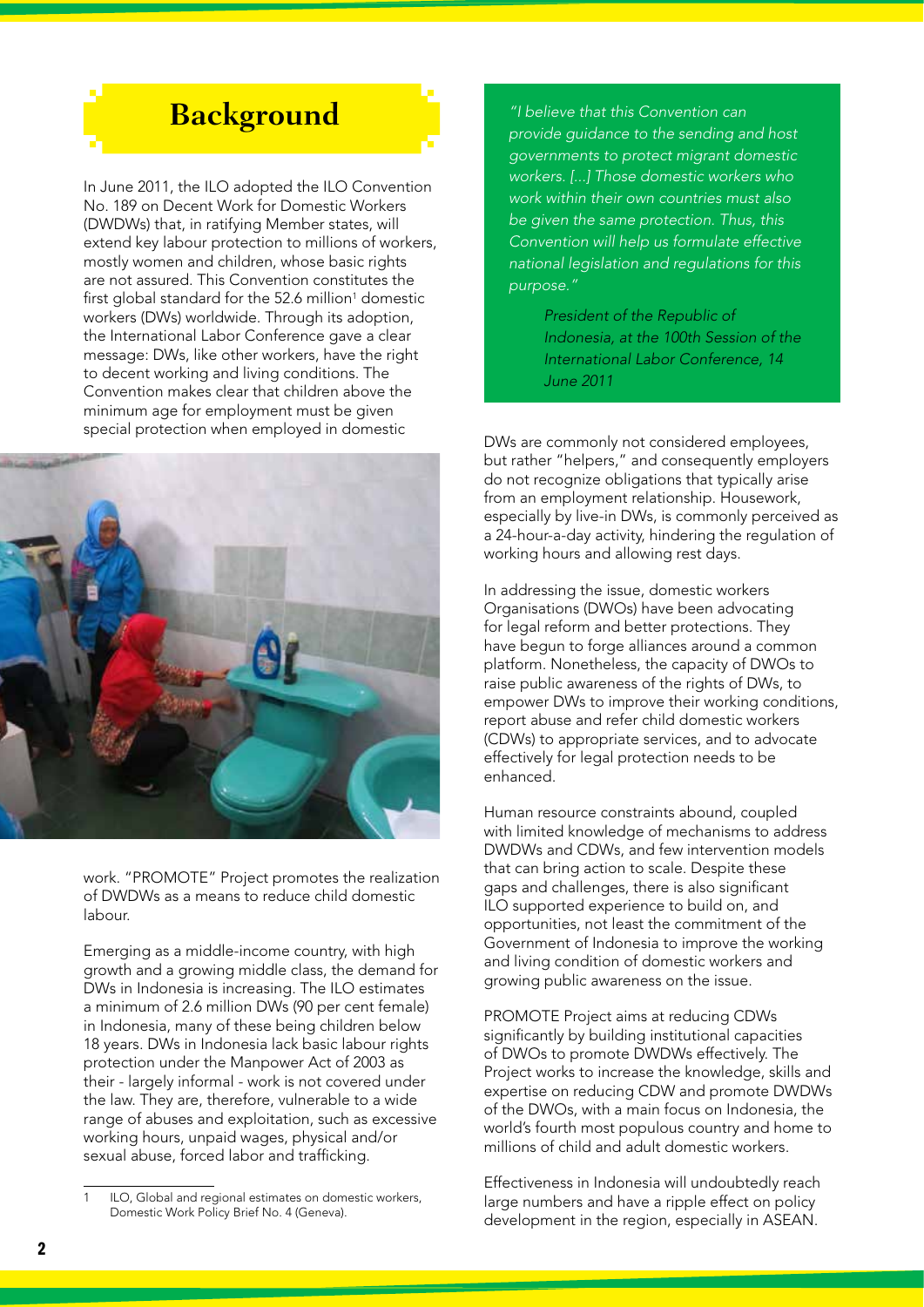### **Background**

In June 2011, the ILO adopted the ILO Convention No. 189 on Decent Work for Domestic Workers (DWDWs) that, in ratifying Member states, will extend key labour protection to millions of workers, mostly women and children, whose basic rights are not assured. This Convention constitutes the first global standard for the 52.6 million $1$  domestic workers (DWs) worldwide. Through its adoption, the International Labor Conference gave a clear message: DWs, like other workers, have the right to decent working and living conditions. The Convention makes clear that children above the minimum age for employment must be given special protection when employed in domestic



work. "PROMOTE" Project promotes the realization of DWDWs as a means to reduce child domestic labour.

Emerging as a middle-income country, with high growth and a growing middle class, the demand for DWs in Indonesia is increasing. The ILO estimates a minimum of 2.6 million DWs (90 per cent female) in Indonesia, many of these being children below 18 years. DWs in Indonesia lack basic labour rights protection under the Manpower Act of 2003 as their - largely informal - work is not covered under the law. They are, therefore, vulnerable to a wide range of abuses and exploitation, such as excessive working hours, unpaid wages, physical and/or sexual abuse, forced labor and trafficking.

*"I believe that this Convention can provide guidance to the sending and host governments to protect migrant domestic workers. [...] Those domestic workers who work within their own countries must also be given the same protection. Thus, this Convention will help us formulate effective national legislation and regulations for this purpose."*

> *President of the Republic of Indonesia, at the 100th Session of the International Labor Conference, 14 June 2011*

DWs are commonly not considered employees, but rather "helpers," and consequently employers do not recognize obligations that typically arise from an employment relationship. Housework, especially by live-in DWs, is commonly perceived as a 24-hour-a-day activity, hindering the regulation of working hours and allowing rest days.

In addressing the issue, domestic workers Organisations (DWOs) have been advocating for legal reform and better protections. They have begun to forge alliances around a common platform. Nonetheless, the capacity of DWOs to raise public awareness of the rights of DWs, to empower DWs to improve their working conditions, report abuse and refer child domestic workers (CDWs) to appropriate services, and to advocate effectively for legal protection needs to be enhanced.

Human resource constraints abound, coupled with limited knowledge of mechanisms to address DWDWs and CDWs, and few intervention models that can bring action to scale. Despite these gaps and challenges, there is also significant ILO supported experience to build on, and opportunities, not least the commitment of the Government of Indonesia to improve the working and living condition of domestic workers and growing public awareness on the issue.

PROMOTE Project aims at reducing CDWs significantly by building institutional capacities of DWOs to promote DWDWs effectively. The Project works to increase the knowledge, skills and expertise on reducing CDW and promote DWDWs of the DWOs, with a main focus on Indonesia, the world's fourth most populous country and home to millions of child and adult domestic workers.

Effectiveness in Indonesia will undoubtedly reach large numbers and have a ripple effect on policy development in the region, especially in ASEAN.

ILO, Global and regional estimates on domestic workers, Domestic Work Policy Brief No. 4 (Geneva).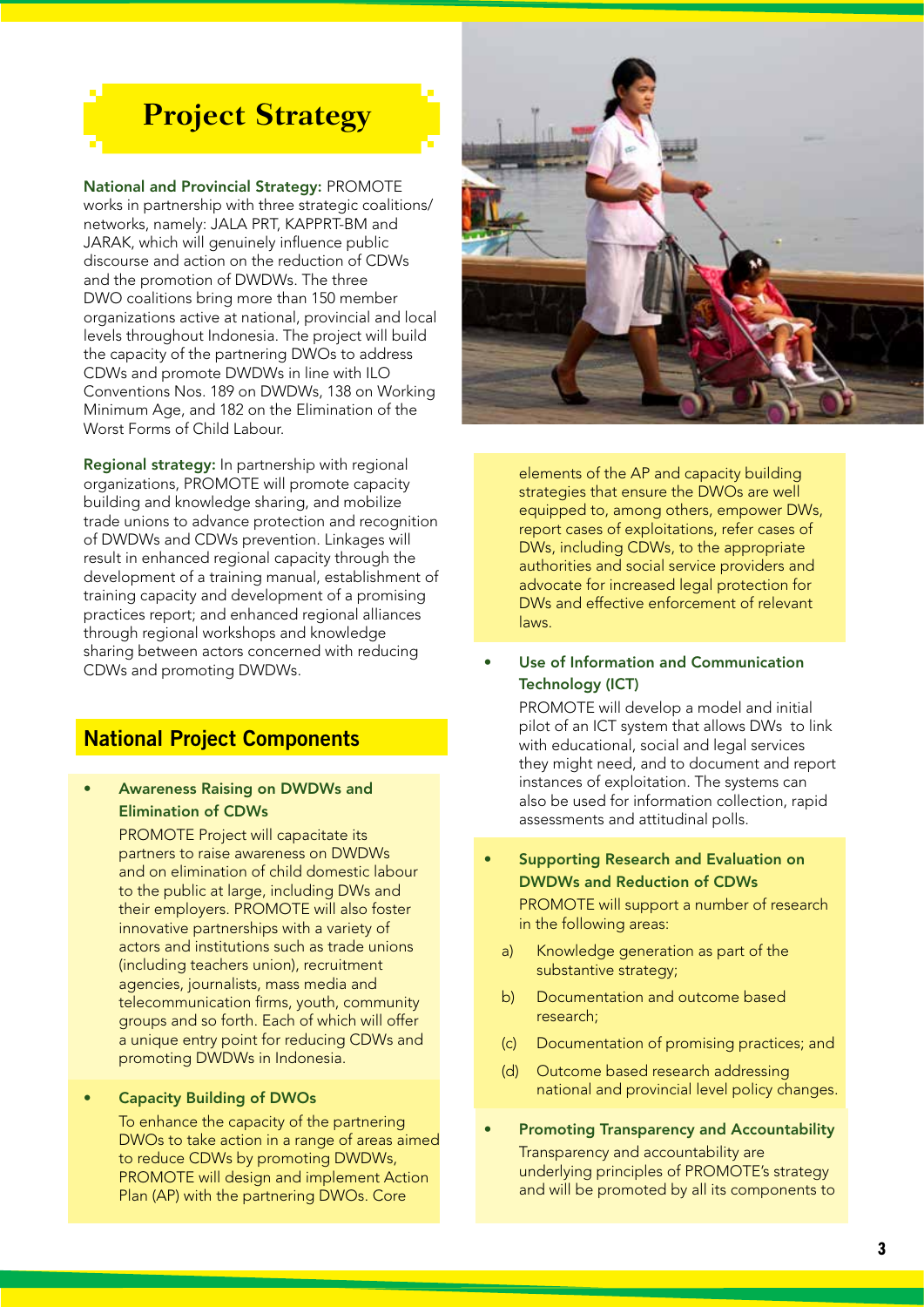## **Project Strategy**

National and Provincial Strategy: PROMOTE

works in partnership with three strategic coalitions/ networks, namely: JALA PRT, KAPPRT-BM and JARAK, which will genuinely influence public discourse and action on the reduction of CDWs and the promotion of DWDWs. The three DWO coalitions bring more than 150 member organizations active at national, provincial and local levels throughout Indonesia. The project will build the capacity of the partnering DWOs to address CDWs and promote DWDWs in line with ILO Conventions Nos. 189 on DWDWs, 138 on Working Minimum Age, and 182 on the Elimination of the Worst Forms of Child Labour.

Regional strategy: In partnership with regional organizations, PROMOTE will promote capacity building and knowledge sharing, and mobilize trade unions to advance protection and recognition of DWDWs and CDWs prevention. Linkages will result in enhanced regional capacity through the development of a training manual, establishment of training capacity and development of a promising practices report; and enhanced regional alliances through regional workshops and knowledge sharing between actors concerned with reducing CDWs and promoting DWDWs.

### **National Project Components**

#### • Awareness Raising on DWDWs and Elimination of CDWs

PROMOTE Project will capacitate its partners to raise awareness on DWDWs and on elimination of child domestic labour to the public at large, including DWs and their employers. PROMOTE will also foster innovative partnerships with a variety of actors and institutions such as trade unions (including teachers union), recruitment agencies, journalists, mass media and telecommunication firms, youth, community groups and so forth. Each of which will offer a unique entry point for reducing CDWs and promoting DWDWs in Indonesia.

#### • Capacity Building of DWOs

To enhance the capacity of the partnering DWOs to take action in a range of areas aimed to reduce CDWs by promoting DWDWs, PROMOTE will design and implement Action Plan (AP) with the partnering DWOs. Core



elements of the AP and capacity building strategies that ensure the DWOs are well equipped to, among others, empower DWs, report cases of exploitations, refer cases of DWs, including CDWs, to the appropriate authorities and social service providers and advocate for increased legal protection for DWs and effective enforcement of relevant laws.

Use of Information and Communication Technology (ICT)

> PROMOTE will develop a model and initial pilot of an ICT system that allows DWs to link with educational, social and legal services they might need, and to document and report instances of exploitation. The systems can also be used for information collection, rapid assessments and attitudinal polls.

- Supporting Research and Evaluation on DWDWs and Reduction of CDWs PROMOTE will support a number of research in the following areas:
	- a) Knowledge generation as part of the substantive strategy;
	- b) Documentation and outcome based research;
	- (c) Documentation of promising practices; and
	- (d) Outcome based research addressing national and provincial level policy changes.
- Promoting Transparency and Accountability Transparency and accountability are underlying principles of PROMOTE's strategy and will be promoted by all its components to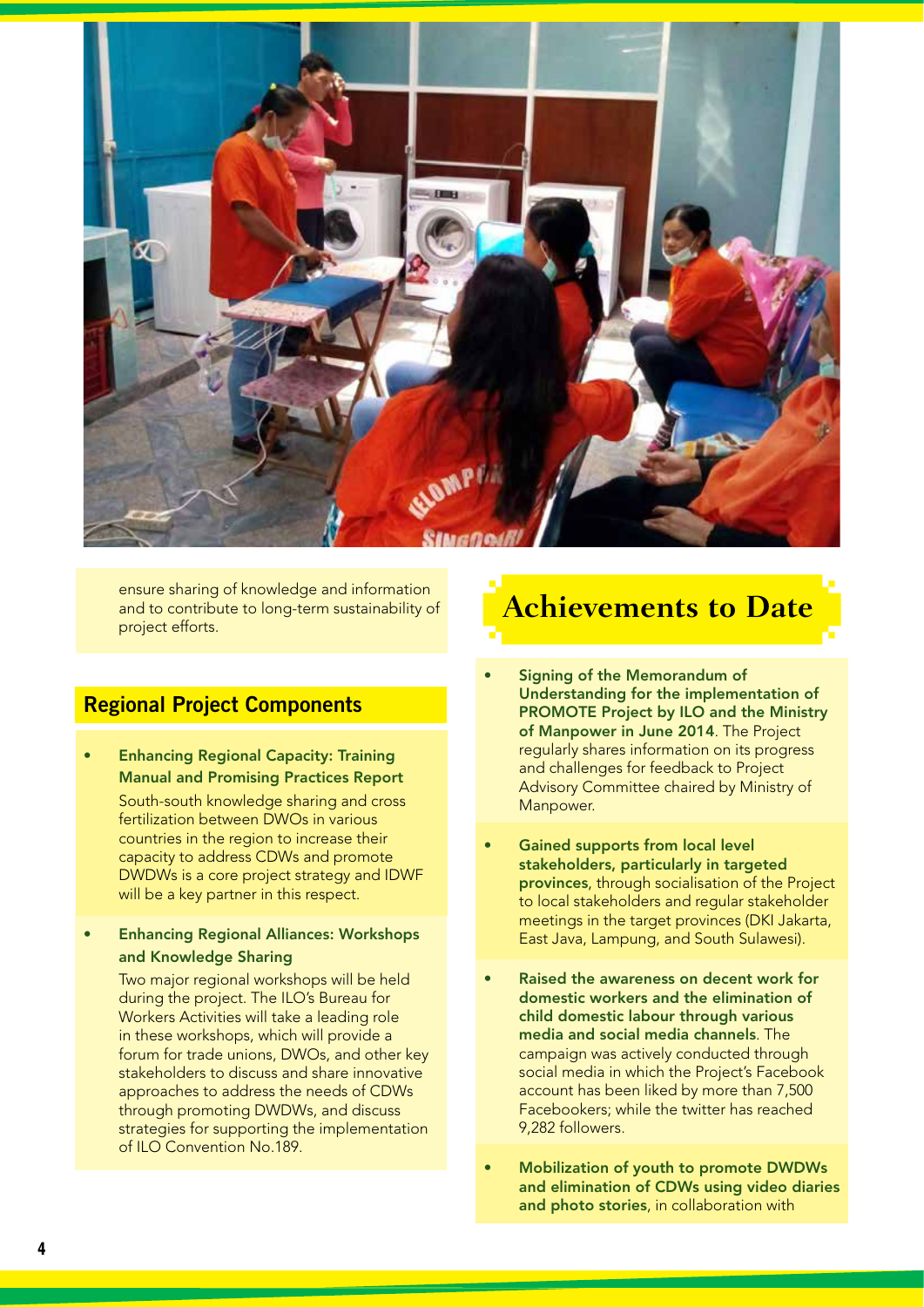

ensure sharing of knowledge and information and to contribute to long-term sustainability of project efforts.

### **Regional Project Components**

• Enhancing Regional Capacity: Training Manual and Promising Practices Report South-south knowledge sharing and cross fertilization between DWOs in various

countries in the region to increase their capacity to address CDWs and promote DWDWs is a core project strategy and IDWF will be a key partner in this respect.

• Enhancing Regional Alliances: Workshops and Knowledge Sharing

> Two major regional workshops will be held during the project. The ILO's Bureau for Workers Activities will take a leading role in these workshops, which will provide a forum for trade unions, DWOs, and other key stakeholders to discuss and share innovative approaches to address the needs of CDWs through promoting DWDWs, and discuss strategies for supporting the implementation of ILO Convention No.189.

# **Achievements to Date**

- Signing of the Memorandum of Understanding for the implementation of PROMOTE Project by ILO and the Ministry of Manpower in June 2014. The Project regularly shares information on its progress and challenges for feedback to Project Advisory Committee chaired by Ministry of Manpower.
- Gained supports from local level stakeholders, particularly in targeted provinces, through socialisation of the Project to local stakeholders and regular stakeholder meetings in the target provinces (DKI Jakarta, East Java, Lampung, and South Sulawesi).
- Raised the awareness on decent work for domestic workers and the elimination of child domestic labour through various media and social media channels. The campaign was actively conducted through social media in which the Project's Facebook account has been liked by more than 7,500 Facebookers; while the twitter has reached 9,282 followers.
- Mobilization of youth to promote DWDWs and elimination of CDWs using video diaries and photo stories, in collaboration with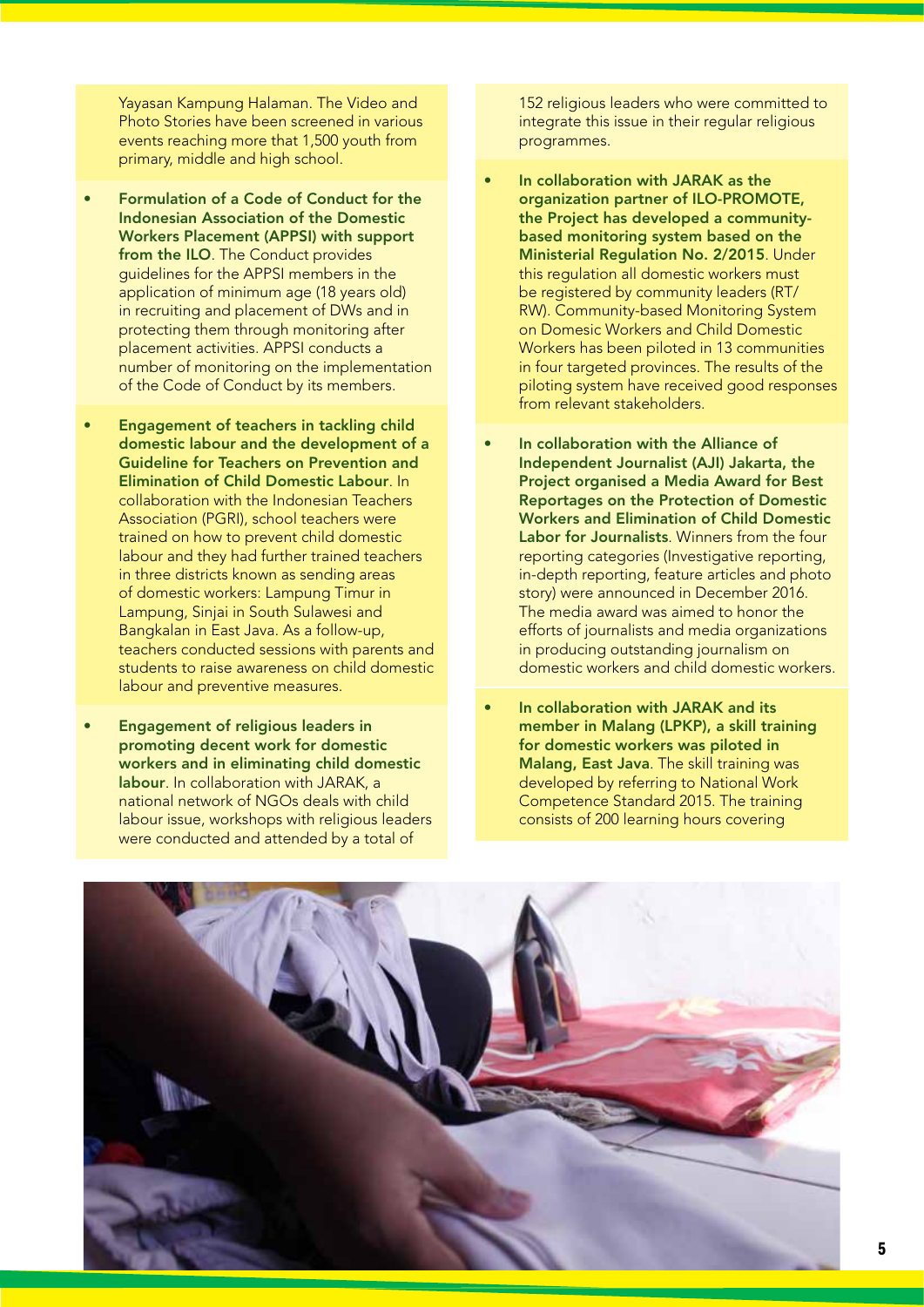Yayasan Kampung Halaman. The Video and Photo Stories have been screened in various events reaching more that 1,500 youth from primary, middle and high school.

- Formulation of a Code of Conduct for the Indonesian Association of the Domestic Workers Placement (APPSI) with support from the ILO. The Conduct provides guidelines for the APPSI members in the application of minimum age (18 years old) in recruiting and placement of DWs and in protecting them through monitoring after placement activities. APPSI conducts a number of monitoring on the implementation of the Code of Conduct by its members.
- Engagement of teachers in tackling child domestic labour and the development of a Guideline for Teachers on Prevention and Elimination of Child Domestic Labour. In collaboration with the Indonesian Teachers Association (PGRI), school teachers were trained on how to prevent child domestic labour and they had further trained teachers in three districts known as sending areas of domestic workers: Lampung Timur in Lampung, Sinjai in South Sulawesi and Bangkalan in East Java. As a follow-up, teachers conducted sessions with parents and students to raise awareness on child domestic labour and preventive measures.
- Engagement of religious leaders in promoting decent work for domestic workers and in eliminating child domestic labour. In collaboration with JARAK, a national network of NGOs deals with child labour issue, workshops with religious leaders were conducted and attended by a total of

152 religious leaders who were committed to integrate this issue in their regular religious programmes.

- In collaboration with JARAK as the organization partner of ILO-PROMOTE, the Project has developed a communitybased monitoring system based on the Ministerial Regulation No. 2/2015. Under this regulation all domestic workers must be registered by community leaders (RT/ RW). Community-based Monitoring System on Domesic Workers and Child Domestic Workers has been piloted in 13 communities in four targeted provinces. The results of the piloting system have received good responses from relevant stakeholders.
- In collaboration with the Alliance of Independent Journalist (AJI) Jakarta, the Project organised a Media Award for Best Reportages on the Protection of Domestic Workers and Elimination of Child Domestic Labor for Journalists. Winners from the four reporting categories (Investigative reporting, in-depth reporting, feature articles and photo story) were announced in December 2016. The media award was aimed to honor the efforts of journalists and media organizations in producing outstanding journalism on domestic workers and child domestic workers.
- In collaboration with JARAK and its member in Malang (LPKP), a skill training for domestic workers was piloted in Malang, East Java. The skill training was developed by referring to National Work Competence Standard 2015. The training consists of 200 learning hours covering